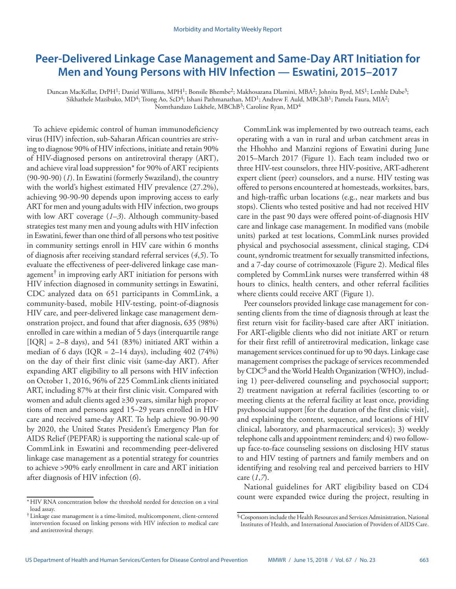# **Peer-Delivered Linkage Case Management and Same-Day ART Initiation for Men and Young Persons with HIV Infection — Eswatini, 2015–2017**

Duncan MacKellar, DrPH<sup>1</sup>; Daniel Williams, MPH<sup>1</sup>; Bonsile Bhembe<sup>2</sup>; Makhosazana Dlamini, MBA<sup>2</sup>; Johnita Byrd, MS<sup>1</sup>; Lenhle Dube<sup>3</sup>; Sikhathele Mazibuko, MD<sup>4</sup>; Trong Ao, ScD<sup>4</sup>; Ishani Pathmanathan, MD<sup>1</sup>; Andrew F. Auld, MBChB<sup>1</sup>; Pamela Faura, MIA<sup>2</sup>; Nomthandazo Lukhele, MBChB<sup>3</sup>; Caroline Ryan, MD<sup>4</sup>

To achieve epidemic control of human immunodeficiency virus (HIV) infection, sub-Saharan African countries are striving to diagnose 90% of HIV infections, initiate and retain 90% of HIV-diagnosed persons on antiretroviral therapy (ART), and achieve viral load suppression\* for 90% of ART recipients (90-90-90) (*1*). In Eswatini (formerly Swaziland), the country with the world's highest estimated HIV prevalence (27.2%), achieving 90-90-90 depends upon improving access to early ART for men and young adults with HIV infection, two groups with low ART coverage (*1*–*3*). Although community-based strategies test many men and young adults with HIV infection in Eswatini, fewer than one third of all persons who test positive in community settings enroll in HIV care within 6 months of diagnosis after receiving standard referral services (*4*,*5*). To evaluate the effectiveness of peer-delivered linkage case management<sup> $\dagger$ </sup> in improving early ART initiation for persons with HIV infection diagnosed in community settings in Eswatini, CDC analyzed data on 651 participants in CommLink, a community-based, mobile HIV-testing, point-of-diagnosis HIV care, and peer-delivered linkage case management demonstration project, and found that after diagnosis, 635 (98%) enrolled in care within a median of 5 days (interquartile range  $[IQR] = 2-8$  days), and 541 (83%) initiated ART within a median of 6 days (IQR =  $2-14$  days), including  $402$  (74%) on the day of their first clinic visit (same-day ART). After expanding ART eligibility to all persons with HIV infection on October 1, 2016, 96% of 225 CommLink clients initiated ART, including 87% at their first clinic visit. Compared with women and adult clients aged ≥30 years, similar high proportions of men and persons aged 15–29 years enrolled in HIV care and received same-day ART. To help achieve 90-90-90 by 2020, the United States President's Emergency Plan for AIDS Relief (PEPFAR) is supporting the national scale-up of CommLink in Eswatini and recommending peer-delivered linkage case management as a potential strategy for countries to achieve >90% early enrollment in care and ART initiation after diagnosis of HIV infection (*6*).

CommLink was implemented by two outreach teams, each operating with a van in rural and urban catchment areas in the Hhohho and Manzini regions of Eswatini during June 2015–March 2017 (Figure 1). Each team included two or three HIV-test counselors, three HIV-positive, ART-adherent expert client (peer) counselors, and a nurse. HIV testing was offered to persons encountered at homesteads, worksites, bars, and high-traffic urban locations (e.g., near markets and bus stops). Clients who tested positive and had not received HIV care in the past 90 days were offered point-of-diagnosis HIV care and linkage case management. In modified vans (mobile units) parked at test locations, CommLink nurses provided physical and psychosocial assessment, clinical staging, CD4 count, syndromic treatment for sexually transmitted infections, and a 7-day course of cotrimoxazole (Figure 2). Medical files completed by CommLink nurses were transferred within 48 hours to clinics, health centers, and other referral facilities where clients could receive ART (Figure 1).

Peer counselors provided linkage case management for consenting clients from the time of diagnosis through at least the first return visit for facility-based care after ART initiation. For ART-eligible clients who did not initiate ART or return for their first refill of antiretroviral medication, linkage case management services continued for up to 90 days. Linkage case management comprises the package of services recommended by CDC§ and the World Health Organization (WHO), including 1) peer-delivered counseling and psychosocial support; 2) treatment navigation at referral facilities (escorting to or meeting clients at the referral facility at least once, providing psychosocial support [for the duration of the first clinic visit], and explaining the content, sequence, and locations of HIV clinical, laboratory, and pharmaceutical services); 3) weekly telephone calls and appointment reminders; and 4) two followup face-to-face counseling sessions on disclosing HIV status to and HIV testing of partners and family members and on identifying and resolving real and perceived barriers to HIV care (*1*,*7*).

National guidelines for ART eligibility based on CD4 count were expanded twice during the project, resulting in

<sup>\*</sup> HIV RNA concentration below the threshold needed for detection on a viral load assay.

<sup>†</sup> Linkage case management is a time-limited, multicomponent, client-centered intervention focused on linking persons with HIV infection to medical care and antiretroviral therapy.

<sup>§</sup>Cosponsors include the Health Resources and Services Administration, National Institutes of Health, and International Association of Providers of AIDS Care.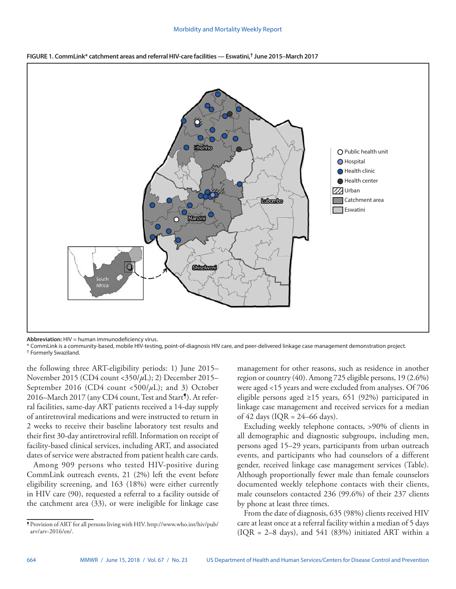#### Morbidity and Mortality Weekly Report



**FIGURE 1. CommLink\* catchment areas and referral HIV-care facilities — Eswatini,† June 2015–March 2017**

**Abbreviation:** HIV = human immunodeficiency virus.

\* CommLink is a community-based, mobile HIV-testing, point-of-diagnosis HIV care, and peer-delivered linkage case management demonstration project. † Formerly Swaziland.

the following three ART-eligibility periods: 1) June 2015– November 2015 (CD4 count <350/*µ*L); 2) December 2015– September 2016 (CD4 count <500/ $\mu$ L); and 3) October 2016–March 2017 (any CD4 count, Test and Start<sup>9</sup>). At referral facilities, same-day ART patients received a 14-day supply of antiretroviral medications and were instructed to return in 2 weeks to receive their baseline laboratory test results and their first 30-day antiretroviral refill. Information on receipt of facility-based clinical services, including ART, and associated dates of service were abstracted from patient health care cards.

Among 909 persons who tested HIV-positive during CommLink outreach events, 21 (2%) left the event before eligibility screening, and 163 (18%) were either currently in HIV care (90), requested a referral to a facility outside of the catchment area (33), or were ineligible for linkage case

management for other reasons, such as residence in another region or country (40). Among 725 eligible persons, 19 (2.6%) were aged <15 years and were excluded from analyses. Of 706 eligible persons aged ≥15 years, 651 (92%) participated in linkage case management and received services for a median of 42 days (IQR =  $24-66$  days).

Excluding weekly telephone contacts, >90% of clients in all demographic and diagnostic subgroups, including men, persons aged 15–29 years, participants from urban outreach events, and participants who had counselors of a different gender, received linkage case management services (Table). Although proportionally fewer male than female counselors documented weekly telephone contacts with their clients, male counselors contacted 236 (99.6%) of their 237 clients by phone at least three times.

From the date of diagnosis, 635 (98%) clients received HIV care at least once at a referral facility within a median of 5 days (IQR =  $2-8$  days), and 541 (83%) initiated ART within a

<sup>¶</sup>Provision of ART for all persons living with HIV. [http://www.who.int/hiv/pub/](http://www.who.int/hiv/pub/arv/arv-2016/en) [arv/arv-2016/en/](http://www.who.int/hiv/pub/arv/arv-2016/en).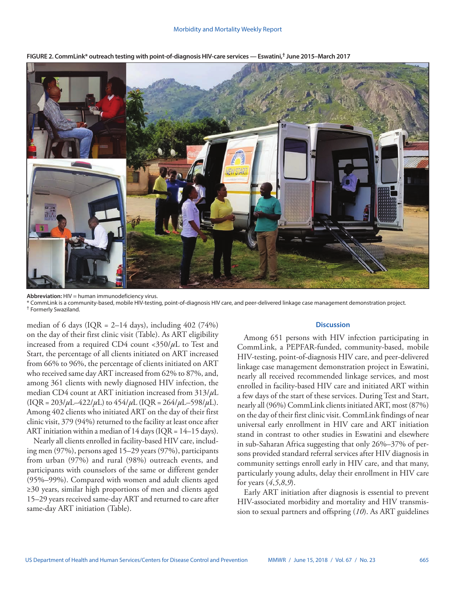

**FIGURE 2. CommLink\* outreach testing with point-of-diagnosis HIV-care services — Eswatini,† June 2015–March 2017**

**Abbreviation:** HIV = human immunodeficiency virus.

\* CommLink is a community-based, mobile HIV-testing, point-of-diagnosis HIV care, and peer-delivered linkage case management demonstration project. † Formerly Swaziland.

median of 6 days (IQR =  $2-14$  days), including 402 (74%) on the day of their first clinic visit (Table). As ART eligibility increased from a required CD4 count <350/*µ*L to Test and Start, the percentage of all clients initiated on ART increased from 66% to 96%, the percentage of clients initiated on ART who received same day ART increased from 62% to 87%, and, among 361 clients with newly diagnosed HIV infection, the median CD4 count at ART initiation increased from 313/*µ*L  $(IQR = 203/\mu L - 422/\mu L)$  to  $454/\mu L (IQR = 264/\mu L - 598/\mu L)$ . Among 402 clients who initiated ART on the day of their first clinic visit, 379 (94%) returned to the facility at least once after ART initiation within a median of  $14$  days (IQR =  $14-15$  days).

Nearly all clients enrolled in facility-based HIV care, including men (97%), persons aged 15–29 years (97%), participants from urban (97%) and rural (98%) outreach events, and participants with counselors of the same or different gender (95%–99%). Compared with women and adult clients aged ≥30 years, similar high proportions of men and clients aged 15–29 years received same-day ART and returned to care after same-day ART initiation (Table).

#### **Discussion**

Among 651 persons with HIV infection participating in CommLink, a PEPFAR-funded, community-based, mobile HIV-testing, point-of-diagnosis HIV care, and peer-delivered linkage case management demonstration project in Eswatini, nearly all received recommended linkage services, and most enrolled in facility-based HIV care and initiated ART within a few days of the start of these services. During Test and Start, nearly all (96%) CommLink clients initiated ART, most (87%) on the day of their first clinic visit. CommLink findings of near universal early enrollment in HIV care and ART initiation stand in contrast to other studies in Eswatini and elsewhere in sub-Saharan Africa suggesting that only 26%–37% of persons provided standard referral services after HIV diagnosis in community settings enroll early in HIV care, and that many, particularly young adults, delay their enrollment in HIV care for years (*4*,*5*,*8*,*9*).

Early ART initiation after diagnosis is essential to prevent HIV-associated morbidity and mortality and HIV transmission to sexual partners and offspring (*10*). As ART guidelines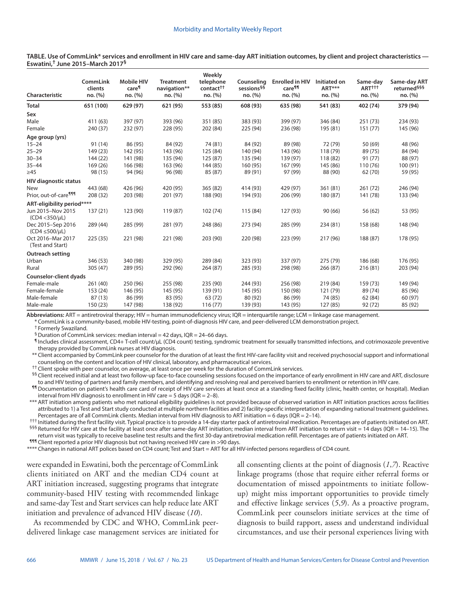**TABLE. Use of CommLink\* services and enrollment in HIV care and same-day ART initiation outcomes, by client and project characteristics — Eswatini,† June 2015–March 2017§**

| Characteristic                              | <b>CommLink</b><br>clients<br>no. (%) | <b>Mobile HIV</b><br>care <sup>1</sup><br>no. (%) | <b>Treatment</b><br>navigation**<br>no. (%) | Weekly<br>telephone<br>contact <sup>++</sup><br>no. (%) | Counseling<br>sessions <sup>§§</sup><br>no. (%) | <b>Enrolled in HIV</b><br>care <sup>11</sup><br>no. (%) | Initiated on<br>ART***<br>no. (%) | Same-day<br>ART <sup>†††</sup><br>no. (%) | Same-day ART<br>returned <sup>§§§</sup><br>no. (%) |
|---------------------------------------------|---------------------------------------|---------------------------------------------------|---------------------------------------------|---------------------------------------------------------|-------------------------------------------------|---------------------------------------------------------|-----------------------------------|-------------------------------------------|----------------------------------------------------|
| <b>Total</b>                                | 651 (100)                             | 629 (97)                                          | 621 (95)                                    | 553 (85)                                                | 608 (93)                                        | 635 (98)                                                | 541 (83)                          | 402 (74)                                  | 379 (94)                                           |
| Sex                                         |                                       |                                                   |                                             |                                                         |                                                 |                                                         |                                   |                                           |                                                    |
| Male                                        | 411 (63)                              | 397 (97)                                          | 393 (96)                                    | 351 (85)                                                | 383 (93)                                        | 399 (97)                                                | 346 (84)                          | 251 (73)                                  | 234 (93)                                           |
| Female                                      | 240 (37)                              | 232 (97)                                          | 228 (95)                                    | 202 (84)                                                | 225 (94)                                        | 236 (98)                                                | 195 (81)                          | 151(77)                                   | 145 (96)                                           |
| Age group (yrs)                             |                                       |                                                   |                                             |                                                         |                                                 |                                                         |                                   |                                           |                                                    |
| $15 - 24$                                   | 91 (14)                               | 86 (95)                                           | 84 (92)                                     | 74 (81)                                                 | 84 (92)                                         | 89 (98)                                                 | 72 (79)                           | 50 (69)                                   | 48 (96)                                            |
| $25 - 29$                                   | 149 (23)                              | 142 (95)                                          | 143 (96)                                    | 125 (84)                                                | 140 (94)                                        | 143 (96)                                                | 118 (79)                          | 89 (75)                                   | 84 (94)                                            |
| $30 - 34$                                   | 144(22)                               | 141 (98)                                          | 135 (94)                                    | 125 (87)                                                | 135 (94)                                        | 139 (97)                                                | 118 (82)                          | 91 (77)                                   | 88 (97)                                            |
| $35 - 44$                                   | 169 (26)                              | 166 (98)                                          | 163 (96)                                    | 144 (85)                                                | 160 (95)                                        | 167 (99)                                                | 145 (86)                          | 110(76)                                   | 100 (91)                                           |
| $\geq 45$                                   | 98 (15)                               | 94 (96)                                           | 96 (98)                                     | 85 (87)                                                 | 89 (91)                                         | 97 (99)                                                 | 88 (90)                           | 62 (70)                                   | 59 (95)                                            |
| <b>HIV diagnostic status</b>                |                                       |                                                   |                                             |                                                         |                                                 |                                                         |                                   |                                           |                                                    |
| <b>New</b>                                  | 443 (68)                              | 426 (96)                                          | 420 (95)                                    | 365 (82)                                                | 414 (93)                                        | 429 (97)                                                | 361 (81)                          | 261(72)                                   | 246 (94)                                           |
| Prior, out-of-care <sup>¶11</sup>           | 208 (32)                              | 203 (98)                                          | 201 (97)                                    | 188 (90)                                                | 194 (93)                                        | 206 (99)                                                | 180 (87)                          | 141 (78)                                  | 133 (94)                                           |
| ART-eligibility period****                  |                                       |                                                   |                                             |                                                         |                                                 |                                                         |                                   |                                           |                                                    |
| Jun 2015-Nov 2015<br>$(CD4 < 350/\mu L)$    | 137(21)                               | 123 (90)                                          | 119 (87)                                    | 102(74)                                                 | 115 (84)                                        | 127 (93)                                                | 90(66)                            | 56 (62)                                   | 53 (95)                                            |
| Dec 2015-Sep 2016<br>$(CD4 \leq 500/\mu L)$ | 289 (44)                              | 285 (99)                                          | 281 (97)                                    | 248 (86)                                                | 273 (94)                                        | 285 (99)                                                | 234 (81)                          | 158 (68)                                  | 148 (94)                                           |
| Oct 2016-Mar 2017<br>(Test and Start)       | 225 (35)                              | 221 (98)                                          | 221 (98)                                    | 203 (90)                                                | 220 (98)                                        | 223 (99)                                                | 217 (96)                          | 188 (87)                                  | 178 (95)                                           |
| <b>Outreach setting</b>                     |                                       |                                                   |                                             |                                                         |                                                 |                                                         |                                   |                                           |                                                    |
| Urban                                       | 346 (53)                              | 340 (98)                                          | 329 (95)                                    | 289 (84)                                                | 323 (93)                                        | 337 (97)                                                | 275 (79)                          | 186 (68)                                  | 176 (95)                                           |
| Rural                                       | 305 (47)                              | 289 (95)                                          | 292 (96)                                    | 264(87)                                                 | 285 (93)                                        | 298 (98)                                                | 266 (87)                          | 216 (81)                                  | 203 (94)                                           |
| <b>Counselor-client dyads</b>               |                                       |                                                   |                                             |                                                         |                                                 |                                                         |                                   |                                           |                                                    |
| Female-male                                 | 261 (40)                              | 250 (96)                                          | 255 (98)                                    | 235 (90)                                                | 244 (93)                                        | 256 (98)                                                | 219 (84)                          | 159 (73)                                  | 149 (94)                                           |
| Female-female                               | 153 (24)                              | 146 (95)                                          | 145 (95)                                    | 139 (91)                                                | 145 (95)                                        | 150 (98)                                                | 121 (79)                          | 89 (74)                                   | 85 (96)                                            |
| Male-female                                 | 87(13)                                | 86 (99)                                           | 83 (95)                                     | 63 (72)                                                 | 80 (92)                                         | 86 (99)                                                 | 74 (85)                           | 62 (84)                                   | 60 (97)                                            |
| Male-male                                   | 150(23)                               | 147 (98)                                          | 138 (92)                                    | 116(77)                                                 | 139 (93)                                        | 143 (95)                                                | 127 (85)                          | 92 (72)                                   | 85 (92)                                            |

**Abbreviations:** ART = antiretroviral therapy; HIV = human immunodeficiency virus; IQR = interquartile range; LCM = linkage case management.

\* CommLink is a community-based, mobile HIV-testing, point-of-diagnosis HIV care, and peer-delivered LCM demonstration project.

† Formerly Swaziland.

 $\frac{6}{5}$  Duration of CommLink services: median interval = 42 days, IQR = 24-66 days.

¶ Includes clinical assessment, CD4+ T-cell count/µL (CD4 count) testing, syndromic treatment for sexually transmitted infections, and cotrimoxazole preventive therapy provided by CommLink nurses at HIV diagnosis.

\*\* Client accompanied by CommLink peer counselor for the duration of at least the first HIV-care facility visit and received psychosocial support and informational counseling on the content and location of HIV clinical, laboratory, and pharmaceutical services.

†† Client spoke with peer counselor, on average, at least once per week for the duration of CommLink services.

<sup>§§</sup> Client received initial and at least two follow-up face-to-face counseling sessions focused on the importance of early enrollment in HIV care and ART, disclosure to and HIV testing of partners and family members, and identifying and resolving real and perceived barriers to enrollment or retention in HIV care.

¶¶Documentation on patient's health care card of receipt of HIV care services at least once at a standing fixed facility (clinic, health center, or hospital). Median interval from HIV diagnosis to enrollment in HIV care = 5 days (IQR =  $2-8$ ).

\*\*\* ART initiation among patients who met national eligibility guidelines is not provided because of observed variation in ART initiation practices across facilities attributed to 1) a Test and Start study conducted at multiple northern facilities and 2) facility-specific interpretation of expanding national treatment guidelines. Percentages are of all CommLink clients. Median interval from HIV diagnosis to ART initiation = 6 days (IQR = 2–14).

††† Initiated during the first facility visit. Typical practice is to provide a 14-day starter pack of antiretroviral medication. Percentages are of patients initiated on ART.  $$55$$  Returned for HIV care at the facility at least once after same-day ART initiation; median interval from ART initiation to return visit = 14 days (IQR = 14–15). The return visit was typically to receive baseline test results and the first 30-day antiretroviral medication refill. Percentages are of patients initiated on ART.

¶¶¶ Client reported a prior HIV diagnosis but not having received HIV care in >90 days.

\*\*\*\* Changes in national ART polices based on CD4 count; Test and Start = ART for all HIV-infected persons regardless of CD4 count.

were expanded in Eswatini, both the percentage of CommLink clients initiated on ART and the median CD4 count at ART initiation increased, suggesting programs that integrate community-based HIV testing with recommended linkage and same-day Test and Start services can help reduce late ART initiation and prevalence of advanced HIV disease (*10*).

As recommended by CDC and WHO, CommLink peerdelivered linkage case management services are initiated for all consenting clients at the point of diagnosis (*1*,*7*). Reactive linkage programs (those that require either referral forms or documentation of missed appointments to initiate followup) might miss important opportunities to provide timely and effective linkage services (*5*,*9*). As a proactive program, CommLink peer counselors initiate services at the time of diagnosis to build rapport, assess and understand individual circumstances, and use their personal experiences living with